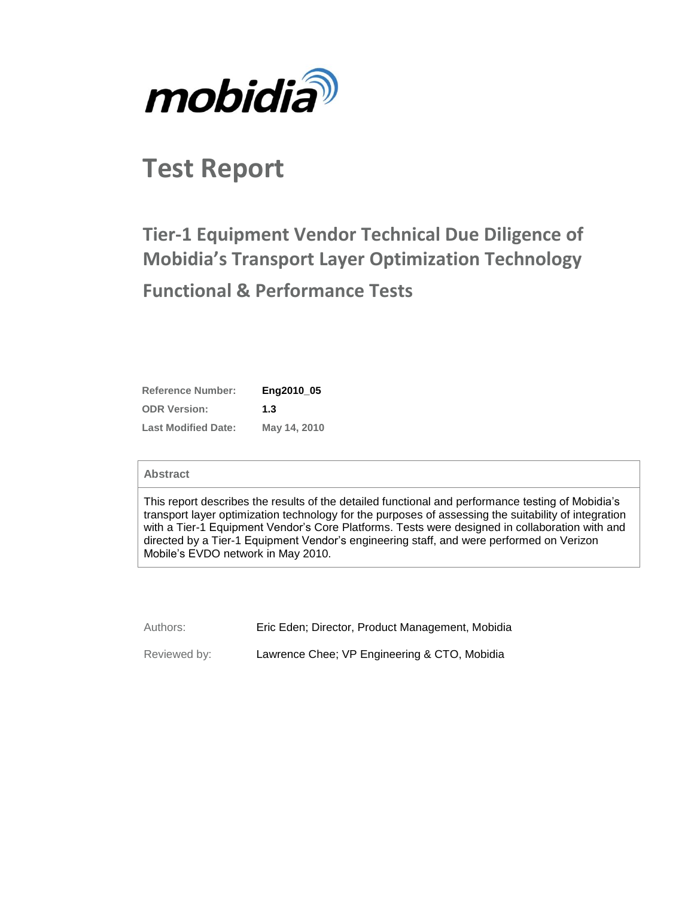

# **Test Report**

# **Tier-1 Equipment Vendor Technical Due Diligence of Mobidia's Transport Layer Optimization Technology Functional & Performance Tests**

| <b>Reference Number:</b>   | Eng2010 05   |
|----------------------------|--------------|
| <b>ODR Version:</b>        | 1.3          |
| <b>Last Modified Date:</b> | May 14, 2010 |

#### **Abstract**

This report describes the results of the detailed functional and performance testing of Mobidia's transport layer optimization technology for the purposes of assessing the suitability of integration with a Tier-1 Equipment Vendor's Core Platforms. Tests were designed in collaboration with and directed by a Tier-1 Equipment Vendor's engineering staff, and were performed on Verizon Mobile's EVDO network in May 2010.

Authors: Eric Eden; Director, Product Management, Mobidia Reviewed by: Lawrence Chee; VP Engineering & CTO, Mobidia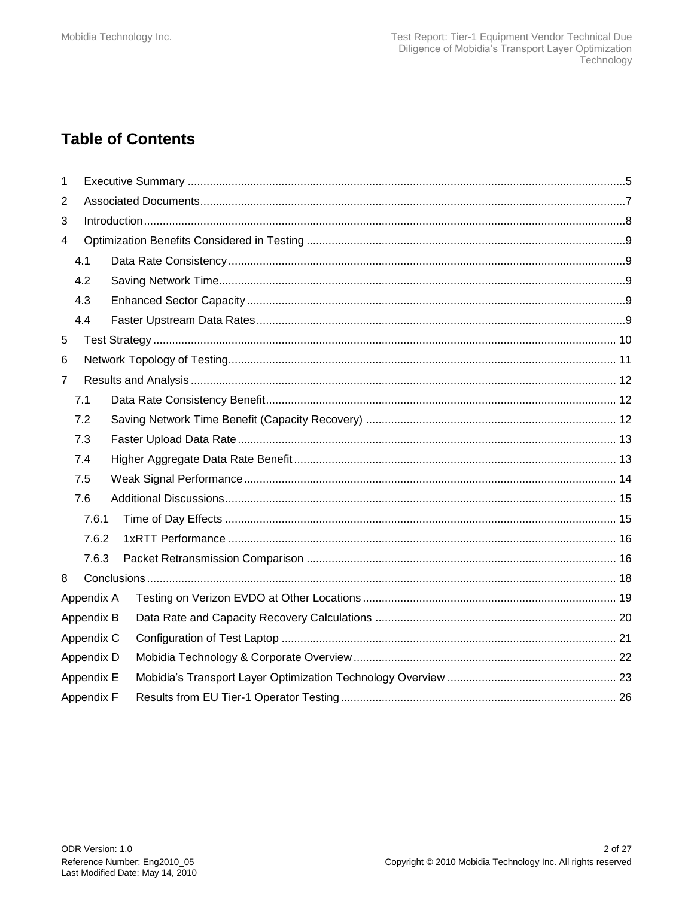# **Table of Contents**

| 1 |            |            |  |  |
|---|------------|------------|--|--|
| 2 |            |            |  |  |
| 3 |            |            |  |  |
| 4 |            |            |  |  |
|   | 4.1        |            |  |  |
|   | 4.2        |            |  |  |
|   | 4.3        |            |  |  |
|   | 4.4        |            |  |  |
| 5 |            |            |  |  |
| 6 |            |            |  |  |
| 7 |            |            |  |  |
|   | 7.1        |            |  |  |
|   | 7.2        |            |  |  |
|   | 7.3        |            |  |  |
|   | 7.4        |            |  |  |
|   | 7.5        |            |  |  |
|   | 7.6        |            |  |  |
|   | 7.6.1      |            |  |  |
|   | 7.6.2      |            |  |  |
|   | 7.6.3      |            |  |  |
| 8 |            |            |  |  |
|   | Appendix A |            |  |  |
|   | Appendix B |            |  |  |
|   |            | Appendix C |  |  |
|   |            | Appendix D |  |  |
|   | Appendix E |            |  |  |
|   | Appendix F |            |  |  |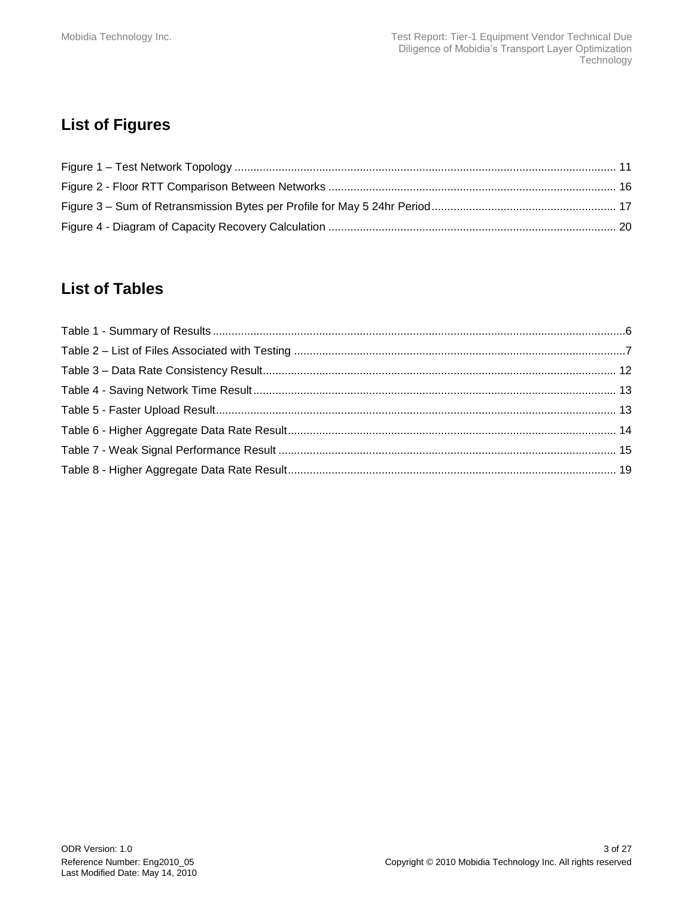# **List of Figures**

# **List of Tables**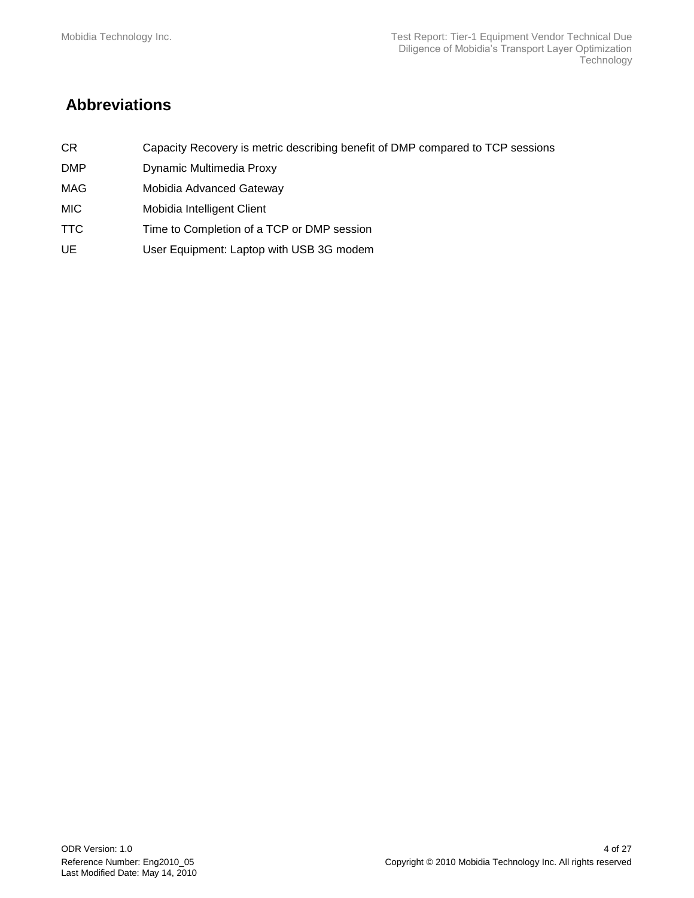# **Abbreviations**

- CR Capacity Recovery is metric describing benefit of DMP compared to TCP sessions
- DMP Dynamic Multimedia Proxy
- MAG Mobidia Advanced Gateway
- MIC Mobidia Intelligent Client
- TTC Time to Completion of a TCP or DMP session
- UE User Equipment: Laptop with USB 3G modem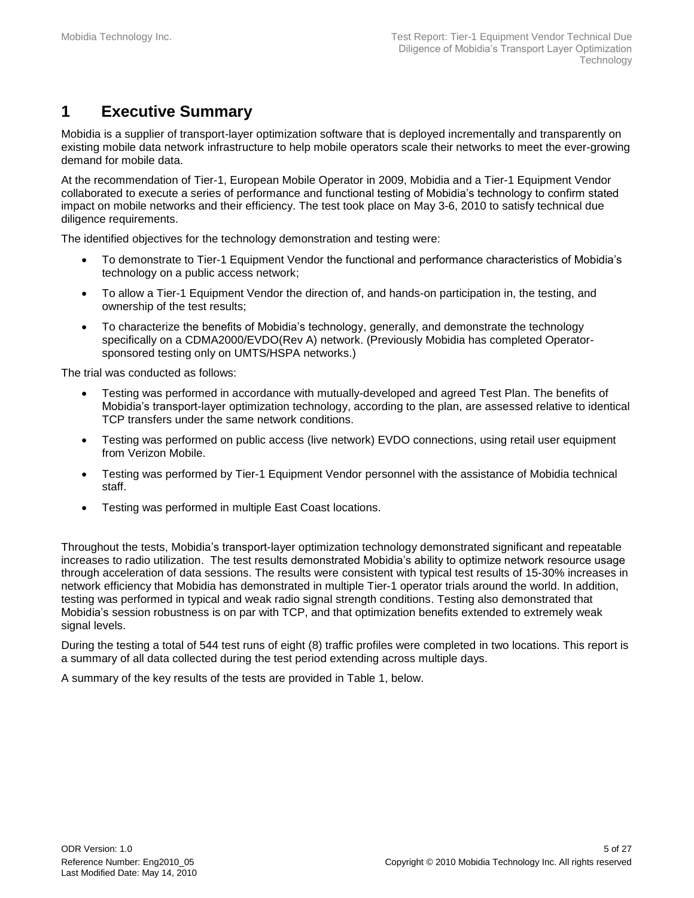# <span id="page-4-0"></span>**1 Executive Summary**

Mobidia is a supplier of transport-layer optimization software that is deployed incrementally and transparently on existing mobile data network infrastructure to help mobile operators scale their networks to meet the ever-growing demand for mobile data.

At the recommendation of Tier-1, European Mobile Operator in 2009, Mobidia and a Tier-1 Equipment Vendor collaborated to execute a series of performance and functional testing of Mobidia's technology to confirm stated impact on mobile networks and their efficiency. The test took place on May 3-6, 2010 to satisfy technical due diligence requirements.

The identified objectives for the technology demonstration and testing were:

- To demonstrate to Tier-1 Equipment Vendor the functional and performance characteristics of Mobidia's technology on a public access network;
- To allow a Tier-1 Equipment Vendor the direction of, and hands-on participation in, the testing, and ownership of the test results;
- To characterize the benefits of Mobidia's technology, generally, and demonstrate the technology specifically on a CDMA2000/EVDO(Rev A) network. (Previously Mobidia has completed Operatorsponsored testing only on UMTS/HSPA networks.)

The trial was conducted as follows:

- Testing was performed in accordance with mutually-developed and agreed Test Plan. The benefits of Mobidia's transport-layer optimization technology, according to the plan, are assessed relative to identical TCP transfers under the same network conditions.
- Testing was performed on public access (live network) EVDO connections, using retail user equipment from Verizon Mobile.
- Testing was performed by Tier-1 Equipment Vendor personnel with the assistance of Mobidia technical staff.
- Testing was performed in multiple East Coast locations.

Throughout the tests, Mobidia's transport-layer optimization technology demonstrated significant and repeatable increases to radio utilization. The test results demonstrated Mobidia's ability to optimize network resource usage through acceleration of data sessions. The results were consistent with typical test results of 15-30% increases in network efficiency that Mobidia has demonstrated in multiple Tier-1 operator trials around the world. In addition, testing was performed in typical and weak radio signal strength conditions. Testing also demonstrated that Mobidia's session robustness is on par with TCP, and that optimization benefits extended to extremely weak signal levels.

During the testing a total of 544 test runs of eight (8) traffic profiles were completed in two locations. This report is a summary of all data collected during the test period extending across multiple days.

A summary of the key results of the tests are provided in Table 1, below.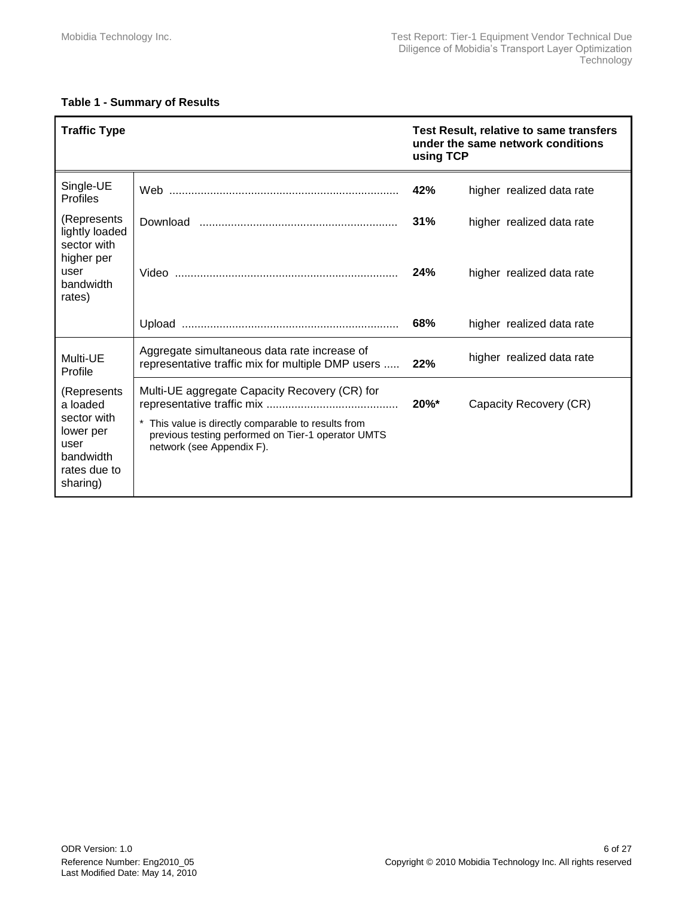#### <span id="page-5-0"></span>**Table 1 - Summary of Results**

| <b>Traffic Type</b>                                                                                   |                                                                                                                                                                                       | Test Result, relative to same transfers<br>under the same network conditions<br>using TCP |                                                        |
|-------------------------------------------------------------------------------------------------------|---------------------------------------------------------------------------------------------------------------------------------------------------------------------------------------|-------------------------------------------------------------------------------------------|--------------------------------------------------------|
| Single-UE<br><b>Profiles</b>                                                                          |                                                                                                                                                                                       | 42%                                                                                       | higher realized data rate                              |
| (Represents<br>lightly loaded<br>sector with<br>higher per<br>user                                    |                                                                                                                                                                                       | 31%<br>24%                                                                                | higher realized data rate<br>higher realized data rate |
| bandwidth<br>rates)                                                                                   |                                                                                                                                                                                       | 68%                                                                                       | higher realized data rate                              |
|                                                                                                       |                                                                                                                                                                                       |                                                                                           |                                                        |
| Multi-UE<br>Profile                                                                                   | Aggregate simultaneous data rate increase of<br>representative traffic mix for multiple DMP users                                                                                     | 22%                                                                                       | higher realized data rate                              |
| (Represents)<br>a loaded<br>sector with<br>lower per<br>user<br>bandwidth<br>rates due to<br>sharing) | Multi-UE aggregate Capacity Recovery (CR) for<br>This value is directly comparable to results from<br>previous testing performed on Tier-1 operator UMTS<br>network (see Appendix F). | 20%*                                                                                      | Capacity Recovery (CR)                                 |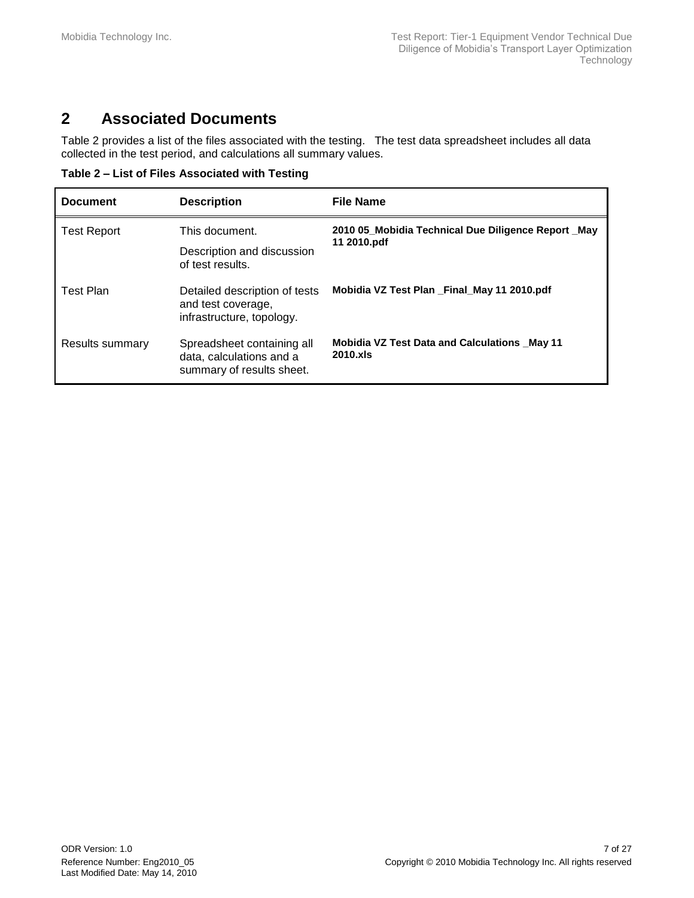# <span id="page-6-0"></span>**2 Associated Documents**

[Table 2](#page-6-1) provides a list of the files associated with the testing. The test data spreadsheet includes all data collected in the test period, and calculations all summary values.

<span id="page-6-1"></span>**Table 2 – List of Files Associated with Testing**

| <b>Document</b>        | <b>Description</b>                                                                  | <b>File Name</b>                                                  |
|------------------------|-------------------------------------------------------------------------------------|-------------------------------------------------------------------|
| <b>Test Report</b>     | This document.<br>Description and discussion<br>of test results.                    | 2010 05 Mobidia Technical Due Diligence Report May<br>11 2010.pdf |
| <b>Test Plan</b>       | Detailed description of tests<br>and test coverage,<br>infrastructure, topology.    | Mobidia VZ Test Plan Final May 11 2010.pdf                        |
| <b>Results summary</b> | Spreadsheet containing all<br>data, calculations and a<br>summary of results sheet. | <b>Mobidia VZ Test Data and Calculations _May 11</b><br>2010.xls  |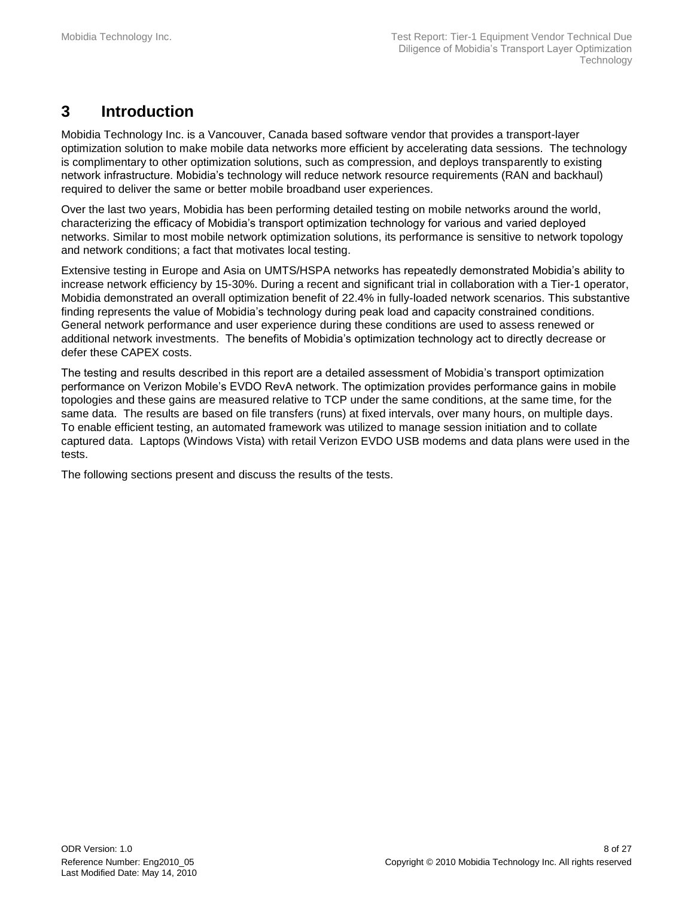# <span id="page-7-0"></span>**3 Introduction**

Mobidia Technology Inc. is a Vancouver, Canada based software vendor that provides a transport-layer optimization solution to make mobile data networks more efficient by accelerating data sessions. The technology is complimentary to other optimization solutions, such as compression, and deploys transparently to existing network infrastructure. Mobidia's technology will reduce network resource requirements (RAN and backhaul) required to deliver the same or better mobile broadband user experiences.

Over the last two years, Mobidia has been performing detailed testing on mobile networks around the world, characterizing the efficacy of Mobidia's transport optimization technology for various and varied deployed networks. Similar to most mobile network optimization solutions, its performance is sensitive to network topology and network conditions; a fact that motivates local testing.

Extensive testing in Europe and Asia on UMTS/HSPA networks has repeatedly demonstrated Mobidia's ability to increase network efficiency by 15-30%. During a recent and significant trial in collaboration with a Tier-1 operator, Mobidia demonstrated an overall optimization benefit of 22.4% in fully-loaded network scenarios. This substantive finding represents the value of Mobidia's technology during peak load and capacity constrained conditions. General network performance and user experience during these conditions are used to assess renewed or additional network investments. The benefits of Mobidia's optimization technology act to directly decrease or defer these CAPEX costs.

The testing and results described in this report are a detailed assessment of Mobidia's transport optimization performance on Verizon Mobile's EVDO RevA network. The optimization provides performance gains in mobile topologies and these gains are measured relative to TCP under the same conditions, at the same time, for the same data. The results are based on file transfers (runs) at fixed intervals, over many hours, on multiple days. To enable efficient testing, an automated framework was utilized to manage session initiation and to collate captured data. Laptops (Windows Vista) with retail Verizon EVDO USB modems and data plans were used in the tests.

The following sections present and discuss the results of the tests.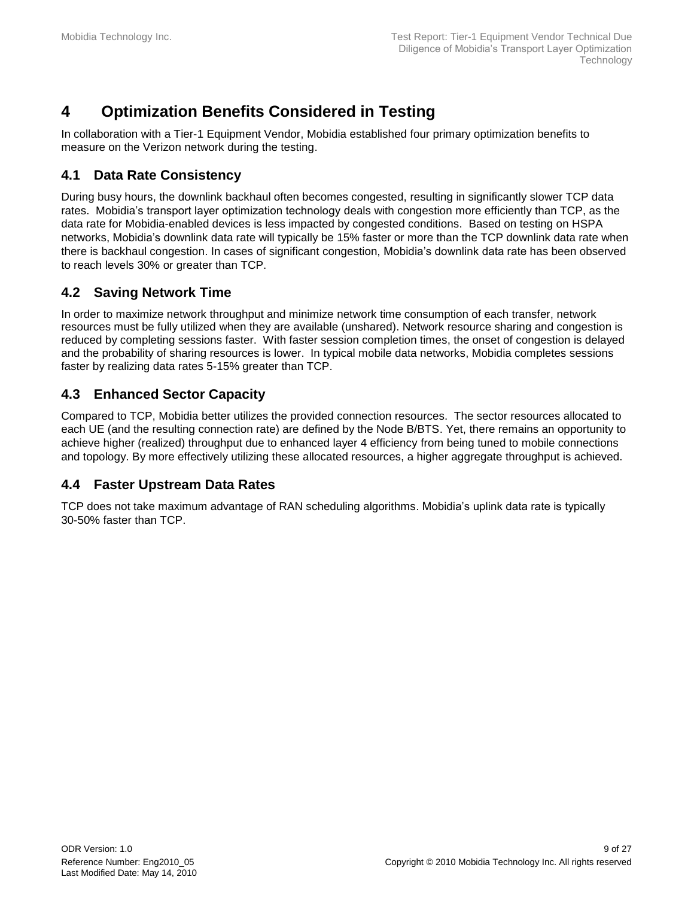# <span id="page-8-0"></span>**4 Optimization Benefits Considered in Testing**

In collaboration with a Tier-1 Equipment Vendor, Mobidia established four primary optimization benefits to measure on the Verizon network during the testing.

### <span id="page-8-1"></span>**4.1 Data Rate Consistency**

During busy hours, the downlink backhaul often becomes congested, resulting in significantly slower TCP data rates. Mobidia's transport layer optimization technology deals with congestion more efficiently than TCP, as the data rate for Mobidia-enabled devices is less impacted by congested conditions. Based on testing on HSPA networks, Mobidia's downlink data rate will typically be 15% faster or more than the TCP downlink data rate when there is backhaul congestion. In cases of significant congestion, Mobidia's downlink data rate has been observed to reach levels 30% or greater than TCP.

### <span id="page-8-2"></span>**4.2 Saving Network Time**

In order to maximize network throughput and minimize network time consumption of each transfer, network resources must be fully utilized when they are available (unshared). Network resource sharing and congestion is reduced by completing sessions faster. With faster session completion times, the onset of congestion is delayed and the probability of sharing resources is lower. In typical mobile data networks, Mobidia completes sessions faster by realizing data rates 5-15% greater than TCP.

### <span id="page-8-3"></span>**4.3 Enhanced Sector Capacity**

Compared to TCP, Mobidia better utilizes the provided connection resources. The sector resources allocated to each UE (and the resulting connection rate) are defined by the Node B/BTS. Yet, there remains an opportunity to achieve higher (realized) throughput due to enhanced layer 4 efficiency from being tuned to mobile connections and topology. By more effectively utilizing these allocated resources, a higher aggregate throughput is achieved.

### <span id="page-8-4"></span>**4.4 Faster Upstream Data Rates**

TCP does not take maximum advantage of RAN scheduling algorithms. Mobidia's uplink data rate is typically 30-50% faster than TCP.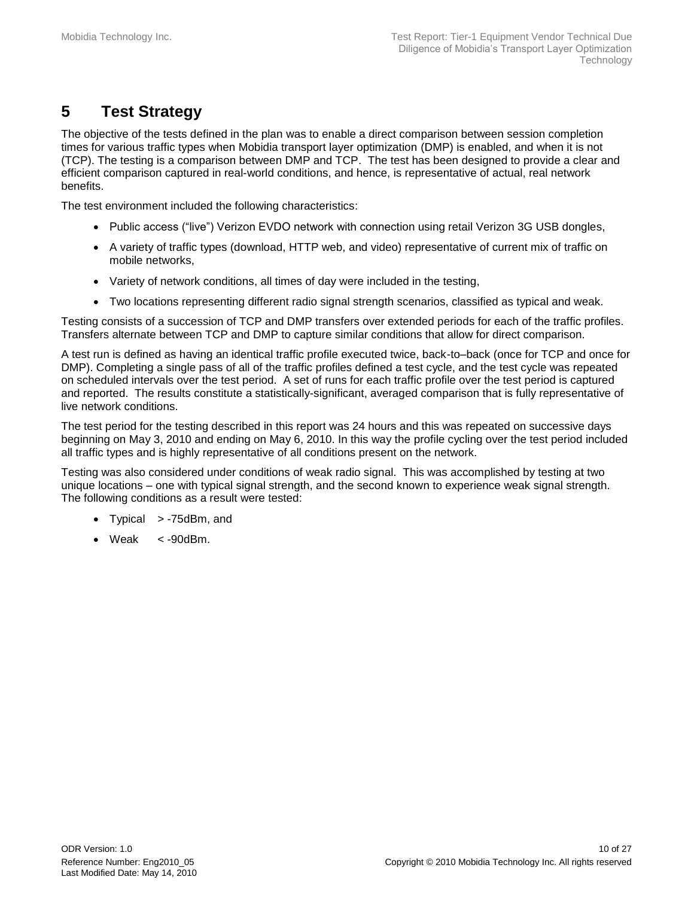# <span id="page-9-0"></span>**5 Test Strategy**

The objective of the tests defined in the plan was to enable a direct comparison between session completion times for various traffic types when Mobidia transport layer optimization (DMP) is enabled, and when it is not (TCP). The testing is a comparison between DMP and TCP. The test has been designed to provide a clear and efficient comparison captured in real-world conditions, and hence, is representative of actual, real network benefits.

The test environment included the following characteristics:

- Public access ("live") Verizon EVDO network with connection using retail Verizon 3G USB dongles,
- A variety of traffic types (download, HTTP web, and video) representative of current mix of traffic on mobile networks,
- Variety of network conditions, all times of day were included in the testing,
- Two locations representing different radio signal strength scenarios, classified as typical and weak.

Testing consists of a succession of TCP and DMP transfers over extended periods for each of the traffic profiles. Transfers alternate between TCP and DMP to capture similar conditions that allow for direct comparison.

A test run is defined as having an identical traffic profile executed twice, back-to–back (once for TCP and once for DMP). Completing a single pass of all of the traffic profiles defined a test cycle, and the test cycle was repeated on scheduled intervals over the test period. A set of runs for each traffic profile over the test period is captured and reported. The results constitute a statistically-significant, averaged comparison that is fully representative of live network conditions.

The test period for the testing described in this report was 24 hours and this was repeated on successive days beginning on May 3, 2010 and ending on May 6, 2010. In this way the profile cycling over the test period included all traffic types and is highly representative of all conditions present on the network.

Testing was also considered under conditions of weak radio signal. This was accomplished by testing at two unique locations – one with typical signal strength, and the second known to experience weak signal strength. The following conditions as a result were tested:

- Typical > -75dBm, and
- Weak  $\lt$  -90dBm.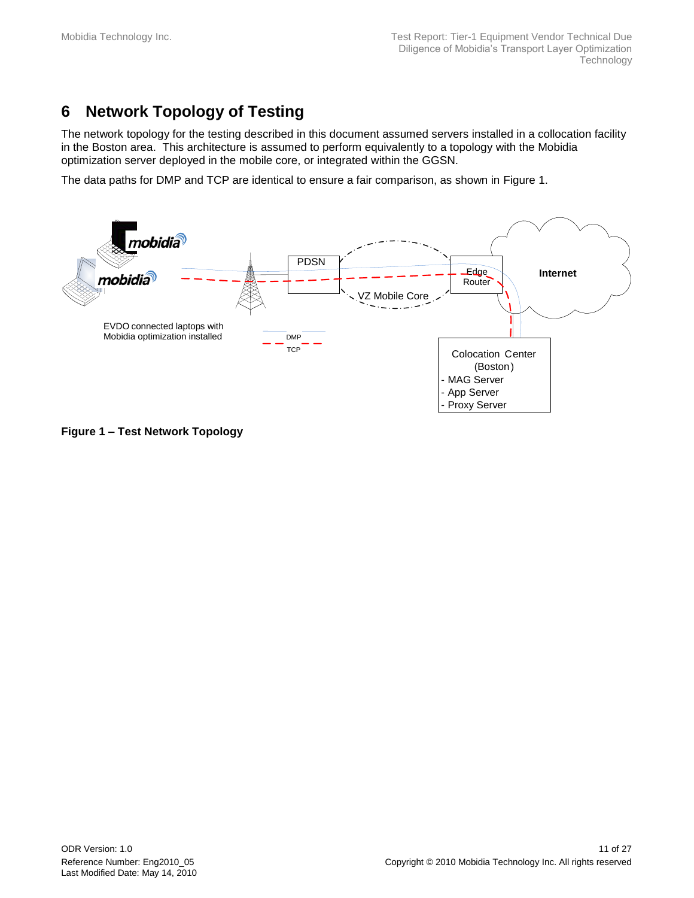# <span id="page-10-0"></span>**6 Network Topology of Testing**

The network topology for the testing described in this document assumed servers installed in a collocation facility in the Boston area. This architecture is assumed to perform equivalently to a topology with the Mobidia optimization server deployed in the mobile core, or integrated within the GGSN.

The data paths for DMP and TCP are identical to ensure a fair comparison, as shown in [Figure 1.](#page-10-1)



<span id="page-10-1"></span>**Figure 1 – Test Network Topology**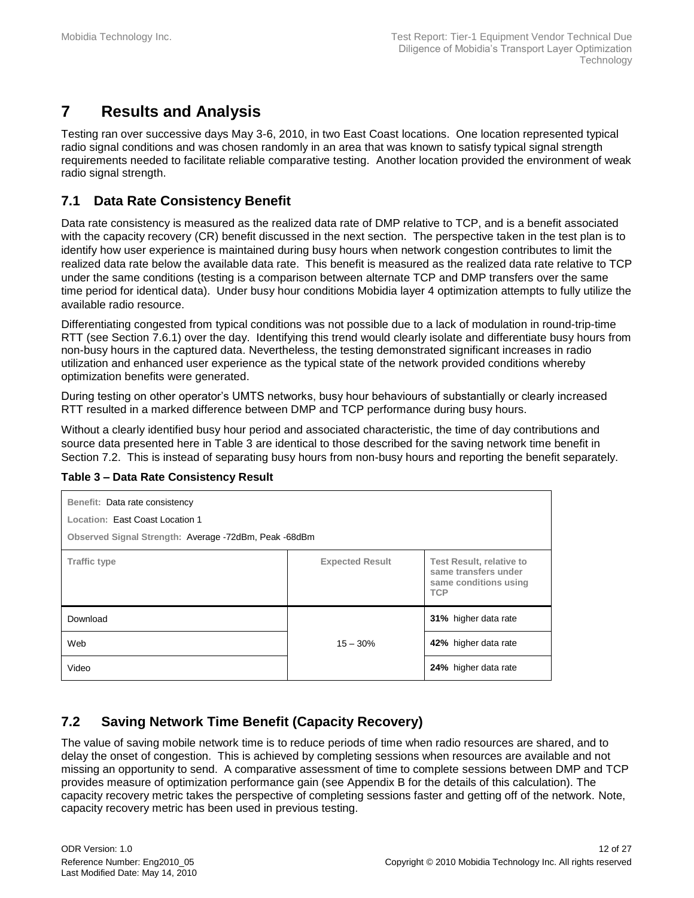# <span id="page-11-0"></span>**7 Results and Analysis**

Testing ran over successive days May 3-6, 2010, in two East Coast locations. One location represented typical radio signal conditions and was chosen randomly in an area that was known to satisfy typical signal strength requirements needed to facilitate reliable comparative testing. Another location provided the environment of weak radio signal strength.

### <span id="page-11-1"></span>**7.1 Data Rate Consistency Benefit**

Data rate consistency is measured as the realized data rate of DMP relative to TCP, and is a benefit associated with the capacity recovery (CR) benefit discussed in the next section. The perspective taken in the test plan is to identify how user experience is maintained during busy hours when network congestion contributes to limit the realized data rate below the available data rate. This benefit is measured as the realized data rate relative to TCP under the same conditions (testing is a comparison between alternate TCP and DMP transfers over the same time period for identical data). Under busy hour conditions Mobidia layer 4 optimization attempts to fully utilize the available radio resource.

Differentiating congested from typical conditions was not possible due to a lack of modulation in round-trip-time RTT (see Section [7.6.1\)](#page-14-1) over the day. Identifying this trend would clearly isolate and differentiate busy hours from non-busy hours in the captured data. Nevertheless, the testing demonstrated significant increases in radio utilization and enhanced user experience as the typical state of the network provided conditions whereby optimization benefits were generated.

During testing on other operator's UMTS networks, busy hour behaviours of substantially or clearly increased RTT resulted in a marked difference between DMP and TCP performance during busy hours.

Without a clearly identified busy hour period and associated characteristic, the time of day contributions and source data presented here in [Table 3](#page-11-3) are identical to those described for the saving network time benefit in Section [7.2.](#page-11-2) This is instead of separating busy hours from non-busy hours and reporting the benefit separately.

| Benefit: Data rate consistency<br>Location: East Coast Location 1<br>Observed Signal Strength: Average -72dBm, Peak -68dBm |                        |                                                                                                |  |
|----------------------------------------------------------------------------------------------------------------------------|------------------------|------------------------------------------------------------------------------------------------|--|
| <b>Traffic type</b>                                                                                                        | <b>Expected Result</b> | <b>Test Result, relative to</b><br>same transfers under<br>same conditions using<br><b>TCP</b> |  |
| Download                                                                                                                   |                        | 31% higher data rate                                                                           |  |
| Web                                                                                                                        | $15 - 30%$             | 42% higher data rate                                                                           |  |
| Video                                                                                                                      |                        | 24% higher data rate                                                                           |  |

#### <span id="page-11-3"></span>**Table 3 – Data Rate Consistency Result**

### <span id="page-11-2"></span>**7.2 Saving Network Time Benefit (Capacity Recovery)**

The value of saving mobile network time is to reduce periods of time when radio resources are shared, and to delay the onset of congestion. This is achieved by completing sessions when resources are available and not missing an opportunity to send. A comparative assessment of time to complete sessions between DMP and TCP provides measure of optimization performance gain (see [Appendix B](#page-19-0) for the details of this calculation). The capacity recovery metric takes the perspective of completing sessions faster and getting off of the network. Note, capacity recovery metric has been used in previous testing.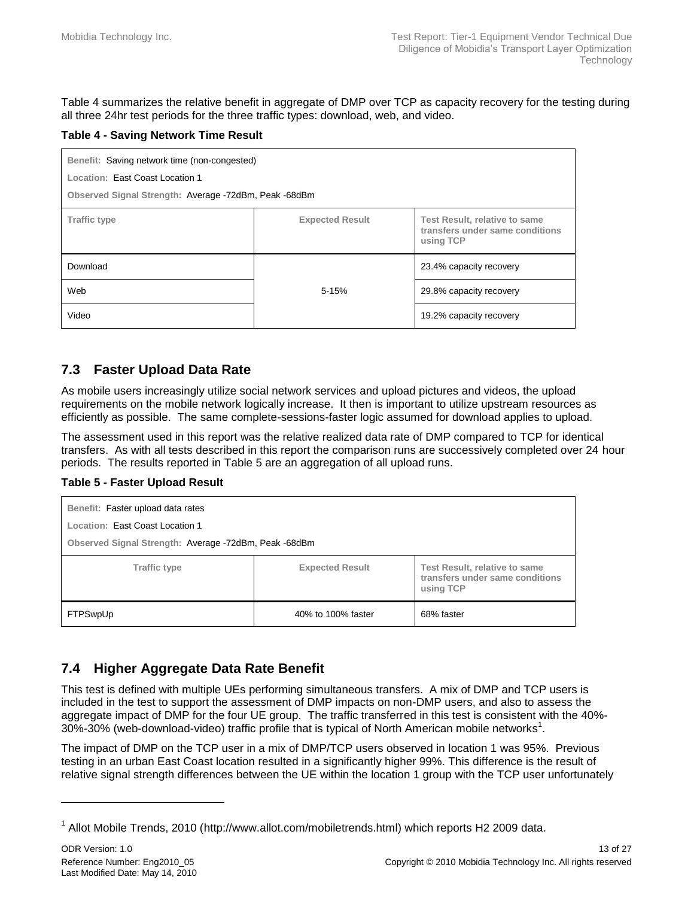[Table 4](#page-12-2) summarizes the relative benefit in aggregate of DMP over TCP as capacity recovery for the testing during all three 24hr test periods for the three traffic types: download, web, and video.

#### <span id="page-12-2"></span>**Table 4 - Saving Network Time Result**

| Benefit: Saving network time (non-congested)                                                                                   |           |                         |  |  |
|--------------------------------------------------------------------------------------------------------------------------------|-----------|-------------------------|--|--|
| Location: East Coast Location 1                                                                                                |           |                         |  |  |
| Observed Signal Strength: Average -72dBm, Peak -68dBm                                                                          |           |                         |  |  |
| <b>Expected Result</b><br>Test Result, relative to same<br><b>Traffic type</b><br>transfers under same conditions<br>using TCP |           |                         |  |  |
| Download                                                                                                                       |           | 23.4% capacity recovery |  |  |
| Web                                                                                                                            | $5 - 15%$ | 29.8% capacity recovery |  |  |
| Video                                                                                                                          |           | 19.2% capacity recovery |  |  |

### <span id="page-12-0"></span>**7.3 Faster Upload Data Rate**

As mobile users increasingly utilize social network services and upload pictures and videos, the upload requirements on the mobile network logically increase. It then is important to utilize upstream resources as efficiently as possible. The same complete-sessions-faster logic assumed for download applies to upload.

The assessment used in this report was the relative realized data rate of DMP compared to TCP for identical transfers. As with all tests described in this report the comparison runs are successively completed over 24 hour periods. The results reported in [Table 5](#page-12-3) are an aggregation of all upload runs.

#### <span id="page-12-3"></span>**Table 5 - Faster Upload Result**

| Benefit: Faster upload data rates                     |                        |                                                                               |  |  |  |
|-------------------------------------------------------|------------------------|-------------------------------------------------------------------------------|--|--|--|
| Location: East Coast Location 1                       |                        |                                                                               |  |  |  |
| Observed Signal Strength: Average -72dBm, Peak -68dBm |                        |                                                                               |  |  |  |
| <b>Traffic type</b>                                   | <b>Expected Result</b> | Test Result, relative to same<br>transfers under same conditions<br>using TCP |  |  |  |
| FTPSwpUp                                              | 40% to 100% faster     | 68% faster                                                                    |  |  |  |

#### <span id="page-12-1"></span>**7.4 Higher Aggregate Data Rate Benefit**

This test is defined with multiple UEs performing simultaneous transfers. A mix of DMP and TCP users is included in the test to support the assessment of DMP impacts on non-DMP users, and also to assess the aggregate impact of DMP for the four UE group. The traffic transferred in this test is consistent with the 40%-  $30\%$ -30% (web-download-video) traffic profile that is typical of North American mobile networks<sup>1</sup>.

The impact of DMP on the TCP user in a mix of DMP/TCP users observed in location 1 was 95%. Previous testing in an urban East Coast location resulted in a significantly higher 99%. This difference is the result of relative signal strength differences between the UE within the location 1 group with the TCP user unfortunately

l

<sup>&</sup>lt;sup>1</sup> Allot Mobile Trends, 2010 (http://www.allot.com/mobiletrends.html) which reports H2 2009 data.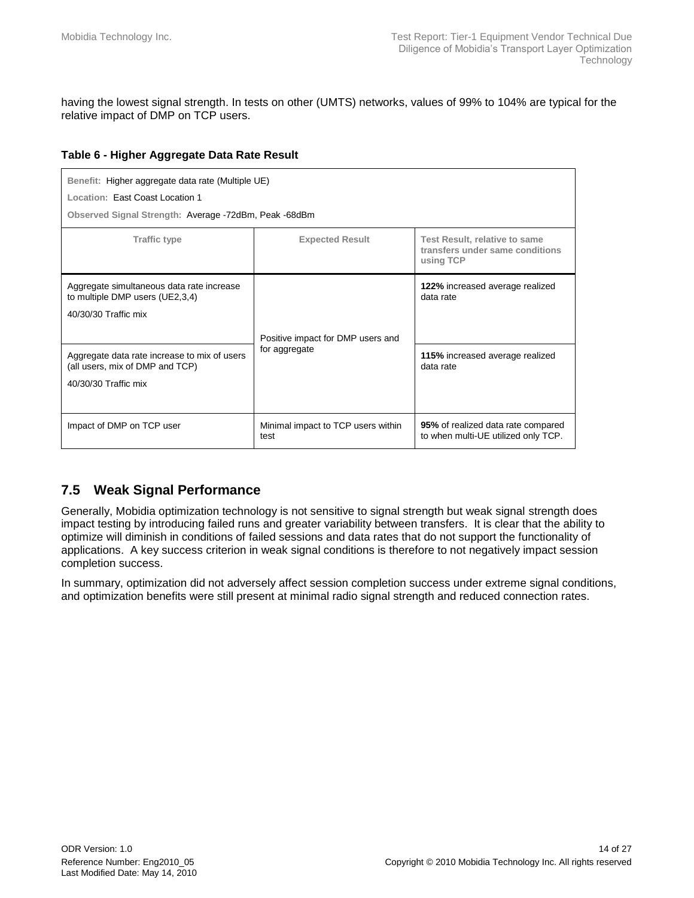having the lowest signal strength. In tests on other (UMTS) networks, values of 99% to 104% are typical for the relative impact of DMP on TCP users.

#### <span id="page-13-1"></span>**Table 6 - Higher Aggregate Data Rate Result**

| Benefit: Higher aggregate data rate (Multiple UE)<br>Location: East Coast Location 1<br>Observed Signal Strength: Average -72dBm, Peak -68dBm                                                                   |                                                    |                                                                                              |  |
|-----------------------------------------------------------------------------------------------------------------------------------------------------------------------------------------------------------------|----------------------------------------------------|----------------------------------------------------------------------------------------------|--|
| <b>Expected Result</b><br><b>Test Result, relative to same</b><br><b>Traffic type</b><br>transfers under same conditions<br>using TCP                                                                           |                                                    |                                                                                              |  |
| Aggregate simultaneous data rate increase<br>to multiple DMP users (UE2,3,4)<br>40/30/30 Traffic mix<br>Aggregate data rate increase to mix of users<br>(all users, mix of DMP and TCP)<br>40/30/30 Traffic mix | Positive impact for DMP users and<br>for aggregate | 122% increased average realized<br>data rate<br>115% increased average realized<br>data rate |  |
| Impact of DMP on TCP user                                                                                                                                                                                       | Minimal impact to TCP users within<br>test         | 95% of realized data rate compared<br>to when multi-UE utilized only TCP.                    |  |

#### <span id="page-13-0"></span>**7.5 Weak Signal Performance**

Generally, Mobidia optimization technology is not sensitive to signal strength but weak signal strength does impact testing by introducing failed runs and greater variability between transfers. It is clear that the ability to optimize will diminish in conditions of failed sessions and data rates that do not support the functionality of applications. A key success criterion in weak signal conditions is therefore to not negatively impact session completion success.

In summary, optimization did not adversely affect session completion success under extreme signal conditions, and optimization benefits were still present at minimal radio signal strength and reduced connection rates.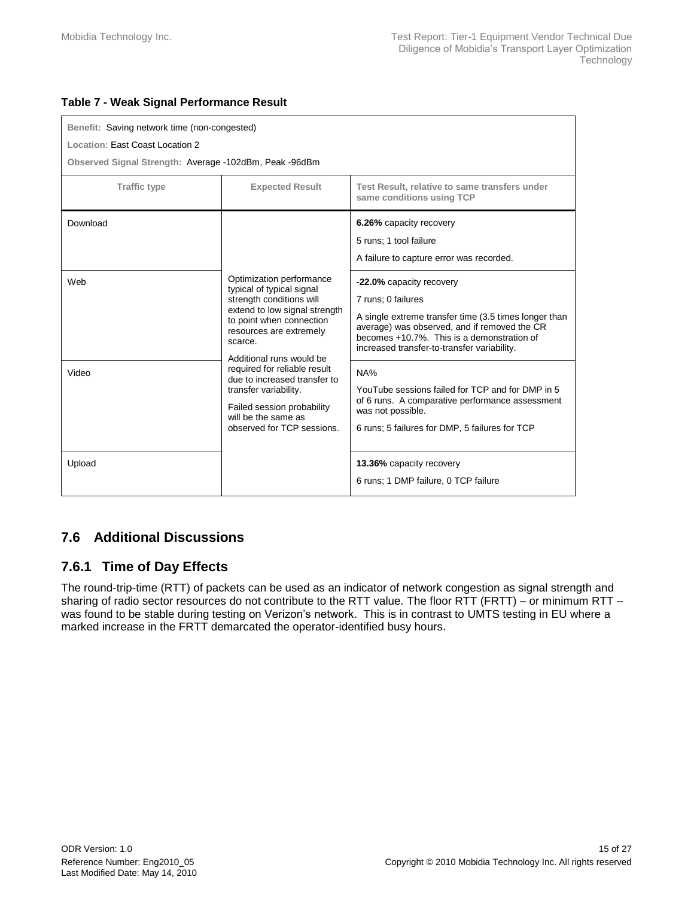#### <span id="page-14-2"></span>**Table 7 - Weak Signal Performance Result**

| Benefit: Saving network time (non-congested)           |                                                                                                                                                                                                                                                                                                                                                                                              |                                                                                                                                                                                                                                                      |  |
|--------------------------------------------------------|----------------------------------------------------------------------------------------------------------------------------------------------------------------------------------------------------------------------------------------------------------------------------------------------------------------------------------------------------------------------------------------------|------------------------------------------------------------------------------------------------------------------------------------------------------------------------------------------------------------------------------------------------------|--|
| Location: East Coast Location 2                        |                                                                                                                                                                                                                                                                                                                                                                                              |                                                                                                                                                                                                                                                      |  |
| Observed Signal Strength: Average -102dBm, Peak -96dBm |                                                                                                                                                                                                                                                                                                                                                                                              |                                                                                                                                                                                                                                                      |  |
| <b>Traffic type</b>                                    | <b>Expected Result</b>                                                                                                                                                                                                                                                                                                                                                                       | Test Result, relative to same transfers under<br>same conditions using TCP                                                                                                                                                                           |  |
| Download                                               |                                                                                                                                                                                                                                                                                                                                                                                              | 6.26% capacity recovery<br>5 runs; 1 tool failure<br>A failure to capture error was recorded.                                                                                                                                                        |  |
| Web                                                    | Optimization performance<br>typical of typical signal<br>strength conditions will<br>extend to low signal strength<br>to point when connection<br>resources are extremely<br>scarce.<br>Additional runs would be<br>required for reliable result<br>due to increased transfer to<br>transfer variability.<br>Failed session probability<br>will be the same as<br>observed for TCP sessions. | -22.0% capacity recovery<br>7 runs; 0 failures<br>A single extreme transfer time (3.5 times longer than<br>average) was observed, and if removed the CR<br>becomes +10.7%. This is a demonstration of<br>increased transfer-to-transfer variability. |  |
| Video                                                  |                                                                                                                                                                                                                                                                                                                                                                                              | NA%<br>YouTube sessions failed for TCP and for DMP in 5<br>of 6 runs. A comparative performance assessment<br>was not possible.<br>6 runs; 5 failures for DMP, 5 failures for TCP                                                                    |  |
| Upload                                                 |                                                                                                                                                                                                                                                                                                                                                                                              | 13.36% capacity recovery<br>6 runs; 1 DMP failure, 0 TCP failure                                                                                                                                                                                     |  |

### <span id="page-14-0"></span>**7.6 Additional Discussions**

### <span id="page-14-1"></span>**7.6.1 Time of Day Effects**

The round-trip-time (RTT) of packets can be used as an indicator of network congestion as signal strength and sharing of radio sector resources do not contribute to the RTT value. The floor RTT (FRTT) – or minimum RTT – was found to be stable during testing on Verizon's network. This is in contrast to UMTS testing in EU where a marked increase in the FRTT demarcated the operator-identified busy hours.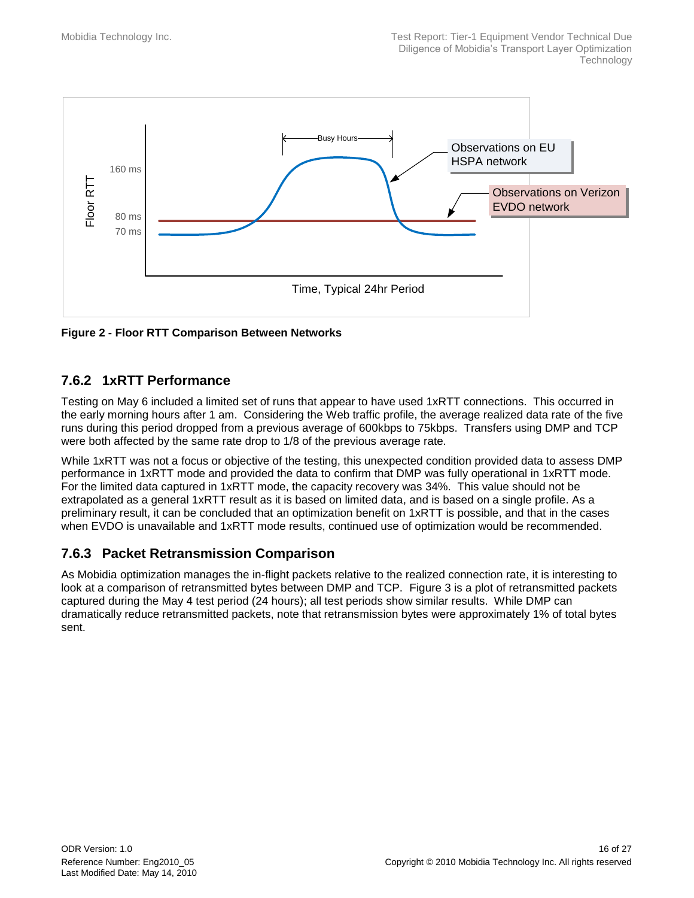

<span id="page-15-2"></span>**Figure 2 - Floor RTT Comparison Between Networks**

### <span id="page-15-0"></span>**7.6.2 1xRTT Performance**

Testing on May 6 included a limited set of runs that appear to have used 1xRTT connections. This occurred in the early morning hours after 1 am. Considering the Web traffic profile, the average realized data rate of the five runs during this period dropped from a previous average of 600kbps to 75kbps. Transfers using DMP and TCP were both affected by the same rate drop to 1/8 of the previous average rate.

While 1xRTT was not a focus or objective of the testing, this unexpected condition provided data to assess DMP performance in 1xRTT mode and provided the data to confirm that DMP was fully operational in 1xRTT mode. For the limited data captured in 1xRTT mode, the capacity recovery was 34%. This value should not be extrapolated as a general 1xRTT result as it is based on limited data, and is based on a single profile. As a preliminary result, it can be concluded that an optimization benefit on 1xRTT is possible, and that in the cases when EVDO is unavailable and 1xRTT mode results, continued use of optimization would be recommended.

### <span id="page-15-1"></span>**7.6.3 Packet Retransmission Comparison**

As Mobidia optimization manages the in-flight packets relative to the realized connection rate, it is interesting to look at a comparison of retransmitted bytes between DMP and TCP. [Figure 3](#page-16-0) is a plot of retransmitted packets captured during the May 4 test period (24 hours); all test periods show similar results. While DMP can dramatically reduce retransmitted packets, note that retransmission bytes were approximately 1% of total bytes sent.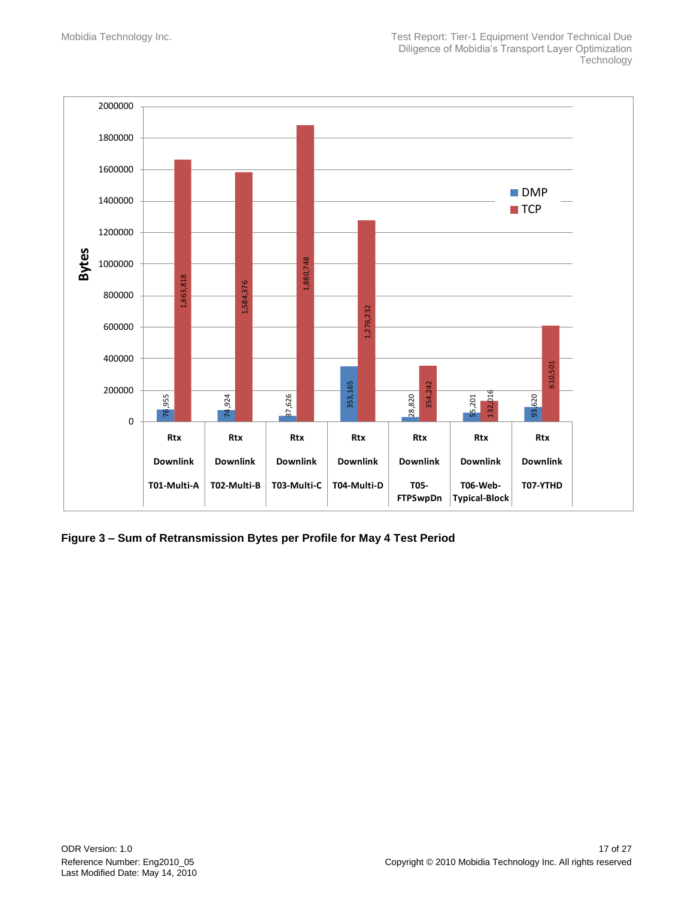

<span id="page-16-0"></span>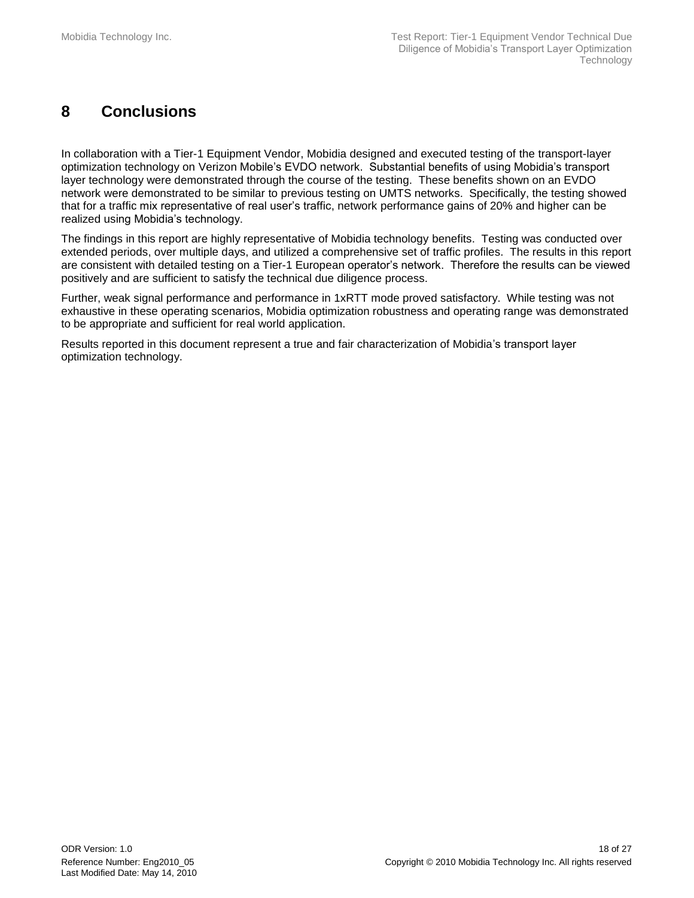# <span id="page-17-0"></span>**8 Conclusions**

In collaboration with a Tier-1 Equipment Vendor, Mobidia designed and executed testing of the transport-layer optimization technology on Verizon Mobile's EVDO network. Substantial benefits of using Mobidia's transport layer technology were demonstrated through the course of the testing. These benefits shown on an EVDO network were demonstrated to be similar to previous testing on UMTS networks. Specifically, the testing showed that for a traffic mix representative of real user's traffic, network performance gains of 20% and higher can be realized using Mobidia's technology.

The findings in this report are highly representative of Mobidia technology benefits. Testing was conducted over extended periods, over multiple days, and utilized a comprehensive set of traffic profiles. The results in this report are consistent with detailed testing on a Tier-1 European operator's network. Therefore the results can be viewed positively and are sufficient to satisfy the technical due diligence process.

Further, weak signal performance and performance in 1xRTT mode proved satisfactory. While testing was not exhaustive in these operating scenarios, Mobidia optimization robustness and operating range was demonstrated to be appropriate and sufficient for real world application.

Results reported in this document represent a true and fair characterization of Mobidia's transport layer optimization technology.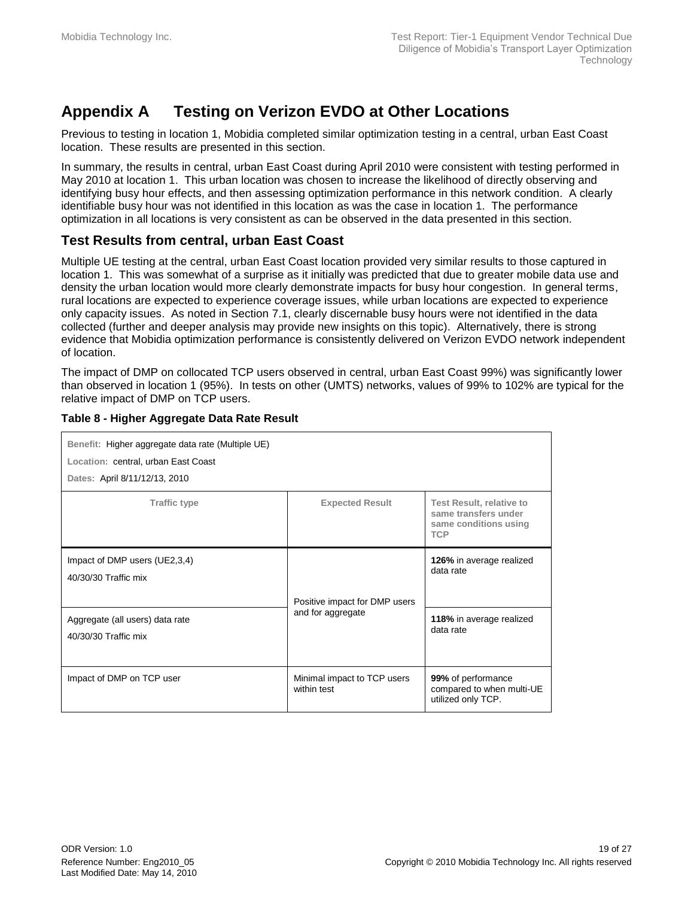# <span id="page-18-0"></span>**Appendix A Testing on Verizon EVDO at Other Locations**

Previous to testing in location 1, Mobidia completed similar optimization testing in a central, urban East Coast location. These results are presented in this section.

In summary, the results in central, urban East Coast during April 2010 were consistent with testing performed in May 2010 at location 1. This urban location was chosen to increase the likelihood of directly observing and identifying busy hour effects, and then assessing optimization performance in this network condition. A clearly identifiable busy hour was not identified in this location as was the case in location 1. The performance optimization in all locations is very consistent as can be observed in the data presented in this section.

### **Test Results from central, urban East Coast**

Multiple UE testing at the central, urban East Coast location provided very similar results to those captured in location 1. This was somewhat of a surprise as it initially was predicted that due to greater mobile data use and density the urban location would more clearly demonstrate impacts for busy hour congestion. In general terms, rural locations are expected to experience coverage issues, while urban locations are expected to experience only capacity issues. As noted in Section [7.1,](#page-11-1) clearly discernable busy hours were not identified in the data collected (further and deeper analysis may provide new insights on this topic). Alternatively, there is strong evidence that Mobidia optimization performance is consistently delivered on Verizon EVDO network independent of location.

The impact of DMP on collocated TCP users observed in central, urban East Coast 99%) was significantly lower than observed in location 1 (95%). In tests on other (UMTS) networks, values of 99% to 102% are typical for the relative impact of DMP on TCP users.

| Benefit: Higher aggregate data rate (Multiple UE)<br>Location: central, urban East Coast<br>Dates: April 8/11/12/13, 2010 |                                            |                                                                                                |
|---------------------------------------------------------------------------------------------------------------------------|--------------------------------------------|------------------------------------------------------------------------------------------------|
| <b>Traffic type</b>                                                                                                       | <b>Expected Result</b>                     | <b>Test Result, relative to</b><br>same transfers under<br>same conditions using<br><b>TCP</b> |
| Impact of DMP users (UE2,3,4)<br>40/30/30 Traffic mix                                                                     | Positive impact for DMP users              | 126% in average realized<br>data rate                                                          |
| Aggregate (all users) data rate<br>40/30/30 Traffic mix                                                                   | and for aggregate                          | 118% in average realized<br>data rate                                                          |
| Impact of DMP on TCP user                                                                                                 | Minimal impact to TCP users<br>within test | 99% of performance<br>compared to when multi-UE<br>utilized only TCP.                          |

#### <span id="page-18-1"></span>**Table 8 - Higher Aggregate Data Rate Result**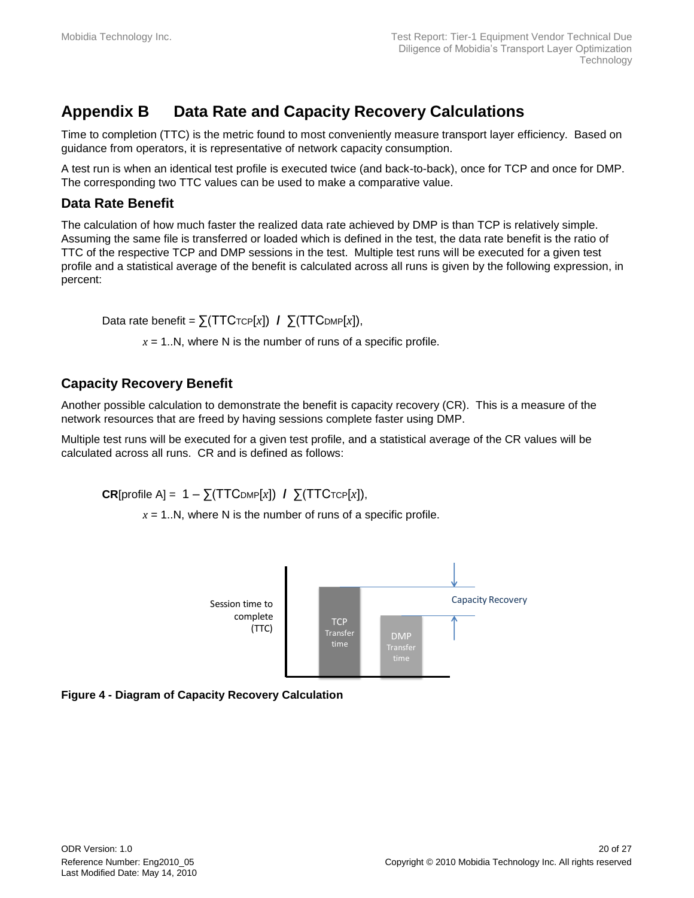# <span id="page-19-0"></span>**Appendix B Data Rate and Capacity Recovery Calculations**

Time to completion (TTC) is the metric found to most conveniently measure transport layer efficiency. Based on guidance from operators, it is representative of network capacity consumption.

A test run is when an identical test profile is executed twice (and back-to-back), once for TCP and once for DMP. The corresponding two TTC values can be used to make a comparative value.

### **Data Rate Benefit**

The calculation of how much faster the realized data rate achieved by DMP is than TCP is relatively simple. Assuming the same file is transferred or loaded which is defined in the test, the data rate benefit is the ratio of TTC of the respective TCP and DMP sessions in the test. Multiple test runs will be executed for a given test profile and a statistical average of the benefit is calculated across all runs is given by the following expression, in percent:

Data rate benefit =  $\sum (TTC_{TCP}[x])$  /  $\sum (TTC_{DMP}[x]),$ 

 $x = 1..N$ , where N is the number of runs of a specific profile.

### **Capacity Recovery Benefit**

Another possible calculation to demonstrate the benefit is capacity recovery (CR). This is a measure of the network resources that are freed by having sessions complete faster using DMP.

Multiple test runs will be executed for a given test profile, and a statistical average of the CR values will be calculated across all runs. CR and is defined as follows:

CR[profile A] =  $1 - \sum(TTCDMP[x])$  / ∑(TTCTCP[*x*]),

 $x = 1..N$ , where N is the number of runs of a specific profile.



<span id="page-19-1"></span>**Figure 4 - Diagram of Capacity Recovery Calculation**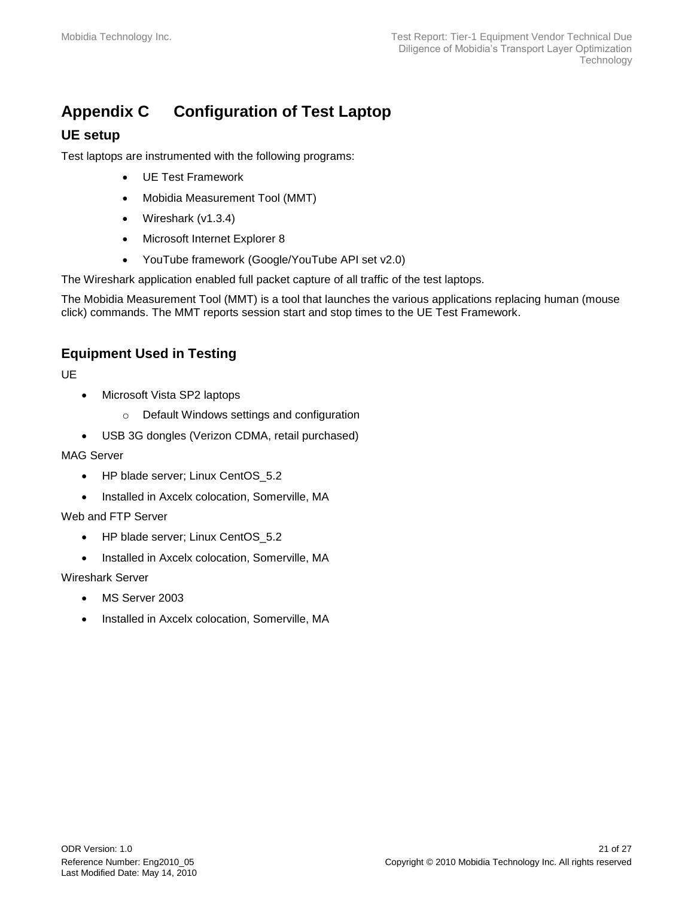# <span id="page-20-0"></span>**Appendix C Configuration of Test Laptop**

### **UE setup**

Test laptops are instrumented with the following programs:

- UE Test Framework
- Mobidia Measurement Tool (MMT)
- Wireshark (v1.3.4)
- Microsoft Internet Explorer 8
- YouTube framework (Google/YouTube API set v2.0)

The Wireshark application enabled full packet capture of all traffic of the test laptops.

The Mobidia Measurement Tool (MMT) is a tool that launches the various applications replacing human (mouse click) commands. The MMT reports session start and stop times to the UE Test Framework.

### **Equipment Used in Testing**

UE

- Microsoft Vista SP2 laptops
	- o Default Windows settings and configuration
- USB 3G dongles (Verizon CDMA, retail purchased)

#### MAG Server

- HP blade server; Linux CentOS 5.2
- Installed in Axcelx colocation, Somerville, MA

#### Web and FTP Server

- HP blade server; Linux CentOS\_5.2
- Installed in Axcelx colocation, Somerville, MA

#### Wireshark Server

- MS Server 2003
- Installed in Axcelx colocation, Somerville, MA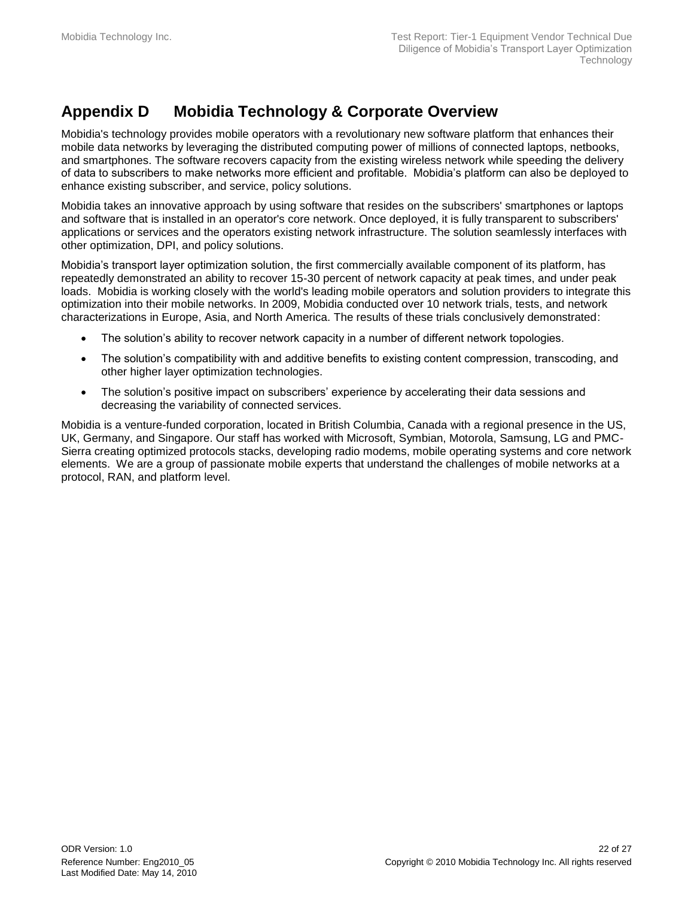# <span id="page-21-0"></span>**Appendix D Mobidia Technology & Corporate Overview**

Mobidia's technology provides mobile operators with a revolutionary new software platform that enhances their mobile data networks by leveraging the distributed computing power of millions of connected laptops, netbooks, and smartphones. The software recovers capacity from the existing wireless network while speeding the delivery of data to subscribers to make networks more efficient and profitable. Mobidia's platform can also be deployed to enhance existing subscriber, and service, policy solutions.

Mobidia takes an innovative approach by using software that resides on the subscribers' smartphones or laptops and software that is installed in an operator's core network. Once deployed, it is fully transparent to subscribers' applications or services and the operators existing network infrastructure. The solution seamlessly interfaces with other optimization, DPI, and policy solutions.

Mobidia's transport layer optimization solution, the first commercially available component of its platform, has repeatedly demonstrated an ability to recover 15-30 percent of network capacity at peak times, and under peak loads. Mobidia is working closely with the world's leading mobile operators and solution providers to integrate this optimization into their mobile networks. In 2009, Mobidia conducted over 10 network trials, tests, and network characterizations in Europe, Asia, and North America. The results of these trials conclusively demonstrated:

- The solution's ability to recover network capacity in a number of different network topologies.
- The solution's compatibility with and additive benefits to existing content compression, transcoding, and other higher layer optimization technologies.
- The solution's positive impact on subscribers' experience by accelerating their data sessions and decreasing the variability of connected services.

Mobidia is a venture-funded corporation, located in British Columbia, Canada with a regional presence in the US, UK, Germany, and Singapore. Our staff has worked with Microsoft, Symbian, Motorola, Samsung, LG and PMC-Sierra creating optimized protocols stacks, developing radio modems, mobile operating systems and core network elements. We are a group of passionate mobile experts that understand the challenges of mobile networks at a protocol, RAN, and platform level.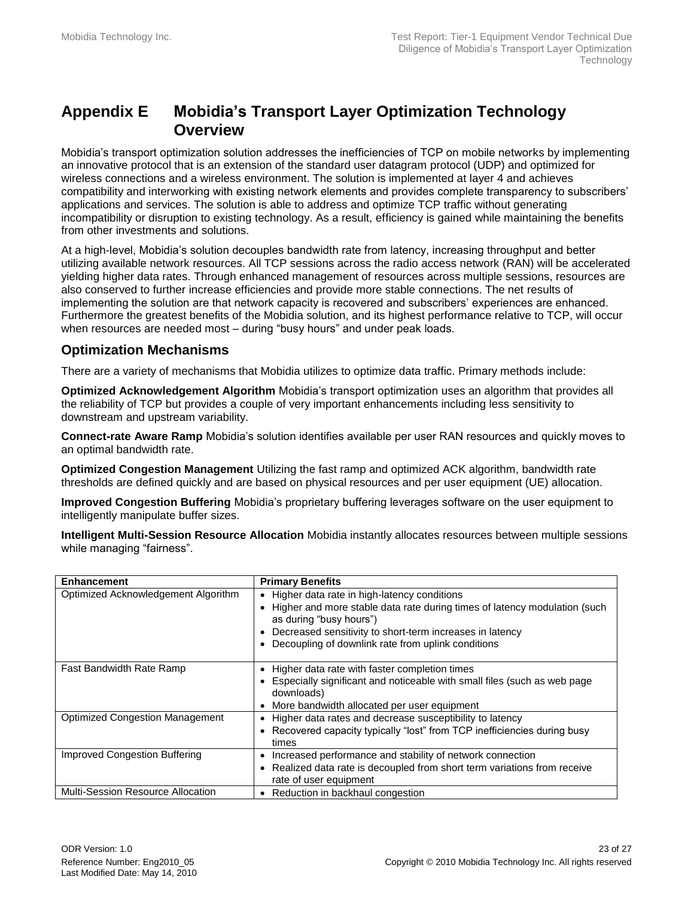## <span id="page-22-0"></span>**Appendix E Mobidia's Transport Layer Optimization Technology Overview**

Mobidia's transport optimization solution addresses the inefficiencies of TCP on mobile networks by implementing an innovative protocol that is an extension of the standard user datagram protocol (UDP) and optimized for wireless connections and a wireless environment. The solution is implemented at layer 4 and achieves compatibility and interworking with existing network elements and provides complete transparency to subscribers' applications and services. The solution is able to address and optimize TCP traffic without generating incompatibility or disruption to existing technology. As a result, efficiency is gained while maintaining the benefits from other investments and solutions.

At a high-level, Mobidia's solution decouples bandwidth rate from latency, increasing throughput and better utilizing available network resources. All TCP sessions across the radio access network (RAN) will be accelerated yielding higher data rates. Through enhanced management of resources across multiple sessions, resources are also conserved to further increase efficiencies and provide more stable connections. The net results of implementing the solution are that network capacity is recovered and subscribers' experiences are enhanced. Furthermore the greatest benefits of the Mobidia solution, and its highest performance relative to TCP, will occur when resources are needed most – during "busy hours" and under peak loads.

#### **Optimization Mechanisms**

There are a variety of mechanisms that Mobidia utilizes to optimize data traffic. Primary methods include:

**Optimized Acknowledgement Algorithm** Mobidia's transport optimization uses an algorithm that provides all the reliability of TCP but provides a couple of very important enhancements including less sensitivity to downstream and upstream variability.

**Connect-rate Aware Ramp** Mobidia's solution identifies available per user RAN resources and quickly moves to an optimal bandwidth rate.

**Optimized Congestion Management** Utilizing the fast ramp and optimized ACK algorithm, bandwidth rate thresholds are defined quickly and are based on physical resources and per user equipment (UE) allocation.

**Improved Congestion Buffering** Mobidia's proprietary buffering leverages software on the user equipment to intelligently manipulate buffer sizes.

**Intelligent Multi-Session Resource Allocation** Mobidia instantly allocates resources between multiple sessions while managing "fairness".

| <b>Enhancement</b>                     | <b>Primary Benefits</b>                                                                                                                                                                                                                                                            |
|----------------------------------------|------------------------------------------------------------------------------------------------------------------------------------------------------------------------------------------------------------------------------------------------------------------------------------|
| Optimized Acknowledgement Algorithm    | Higher data rate in high-latency conditions<br>$\bullet$<br>Higher and more stable data rate during times of latency modulation (such<br>as during "busy hours")<br>Decreased sensitivity to short-term increases in latency<br>Decoupling of downlink rate from uplink conditions |
| Fast Bandwidth Rate Ramp               | Higher data rate with faster completion times<br>$\bullet$<br>Especially significant and noticeable with small files (such as web page<br>downloads)<br>More bandwidth allocated per user equipment<br>$\bullet$                                                                   |
| <b>Optimized Congestion Management</b> | Higher data rates and decrease susceptibility to latency<br>$\bullet$<br>Recovered capacity typically "lost" from TCP inefficiencies during busy<br>times                                                                                                                          |
| Improved Congestion Buffering          | Increased performance and stability of network connection<br>٠<br>Realized data rate is decoupled from short term variations from receive<br>rate of user equipment                                                                                                                |
| Multi-Session Resource Allocation      | Reduction in backhaul congestion<br>٠                                                                                                                                                                                                                                              |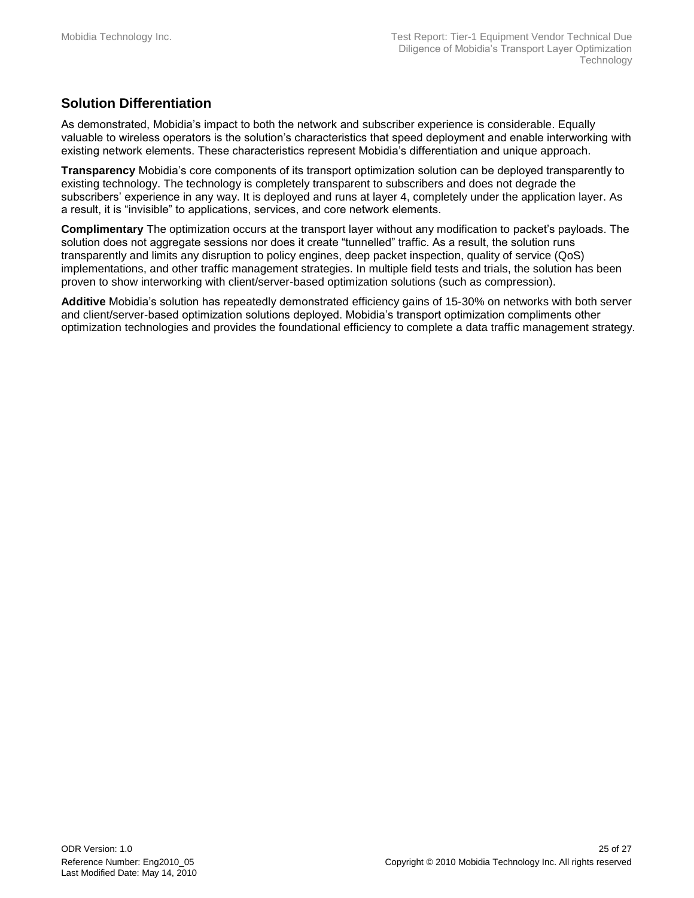## **Solution Differentiation**

As demonstrated, Mobidia's impact to both the network and subscriber experience is considerable. Equally valuable to wireless operators is the solution's characteristics that speed deployment and enable interworking with existing network elements. These characteristics represent Mobidia's differentiation and unique approach.

**Transparency** Mobidia's core components of its transport optimization solution can be deployed transparently to existing technology. The technology is completely transparent to subscribers and does not degrade the subscribers' experience in any way. It is deployed and runs at layer 4, completely under the application layer. As a result, it is "invisible" to applications, services, and core network elements.

**Complimentary** The optimization occurs at the transport layer without any modification to packet's payloads. The solution does not aggregate sessions nor does it create "tunnelled" traffic. As a result, the solution runs transparently and limits any disruption to policy engines, deep packet inspection, quality of service (QoS) implementations, and other traffic management strategies. In multiple field tests and trials, the solution has been proven to show interworking with client/server-based optimization solutions (such as compression).

**Additive** Mobidia's solution has repeatedly demonstrated efficiency gains of 15-30% on networks with both server and client/server-based optimization solutions deployed. Mobidia's transport optimization compliments other optimization technologies and provides the foundational efficiency to complete a data traffic management strategy.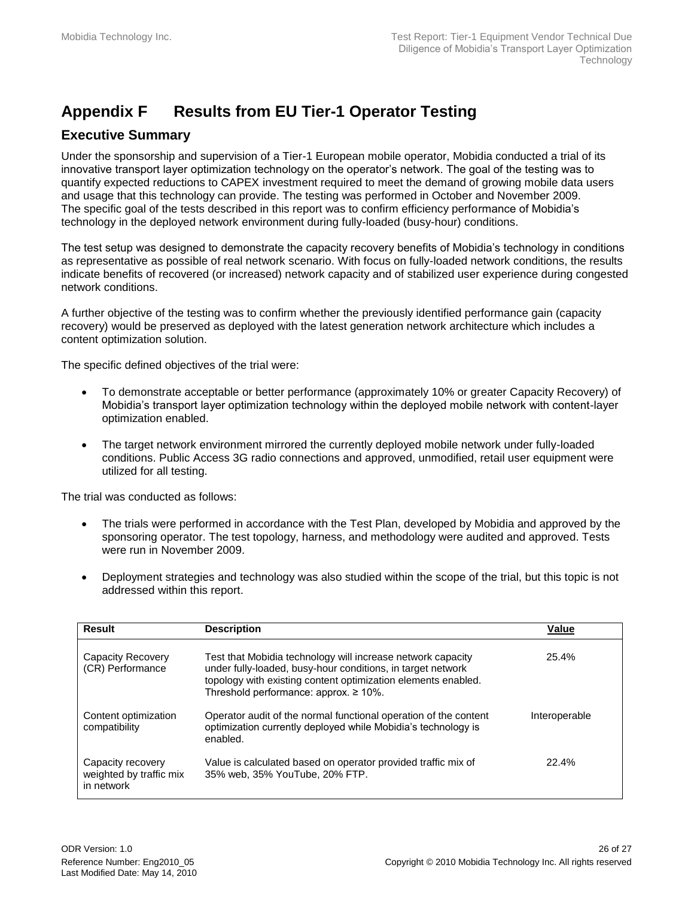# <span id="page-25-0"></span>**Appendix F Results from EU Tier-1 Operator Testing**

### **Executive Summary**

Under the sponsorship and supervision of a Tier-1 European mobile operator, Mobidia conducted a trial of its innovative transport layer optimization technology on the operator's network. The goal of the testing was to quantify expected reductions to CAPEX investment required to meet the demand of growing mobile data users and usage that this technology can provide. The testing was performed in October and November 2009. The specific goal of the tests described in this report was to confirm efficiency performance of Mobidia's technology in the deployed network environment during fully-loaded (busy-hour) conditions.

The test setup was designed to demonstrate the capacity recovery benefits of Mobidia's technology in conditions as representative as possible of real network scenario. With focus on fully-loaded network conditions, the results indicate benefits of recovered (or increased) network capacity and of stabilized user experience during congested network conditions.

A further objective of the testing was to confirm whether the previously identified performance gain (capacity recovery) would be preserved as deployed with the latest generation network architecture which includes a content optimization solution.

The specific defined objectives of the trial were:

- To demonstrate acceptable or better performance (approximately 10% or greater Capacity Recovery) of Mobidia's transport layer optimization technology within the deployed mobile network with content-layer optimization enabled.
- The target network environment mirrored the currently deployed mobile network under fully-loaded conditions. Public Access 3G radio connections and approved, unmodified, retail user equipment were utilized for all testing.

The trial was conducted as follows:

- The trials were performed in accordance with the Test Plan, developed by Mobidia and approved by the sponsoring operator. The test topology, harness, and methodology were audited and approved. Tests were run in November 2009.
- Deployment strategies and technology was also studied within the scope of the trial, but this topic is not addressed within this report.

| <b>Result</b>                                              | <b>Description</b>                                                                                                                                                                                                                          | Value         |
|------------------------------------------------------------|---------------------------------------------------------------------------------------------------------------------------------------------------------------------------------------------------------------------------------------------|---------------|
| Capacity Recovery<br>(CR) Performance                      | Test that Mobidia technology will increase network capacity<br>under fully-loaded, busy-hour conditions, in target network<br>topology with existing content optimization elements enabled.<br>Threshold performance: approx. $\geq 10\%$ . | 25.4%         |
| Content optimization<br>compatibility                      | Operator audit of the normal functional operation of the content<br>optimization currently deployed while Mobidia's technology is<br>enabled.                                                                                               | Interoperable |
| Capacity recovery<br>weighted by traffic mix<br>in network | Value is calculated based on operator provided traffic mix of<br>35% web, 35% YouTube, 20% FTP.                                                                                                                                             | 22.4%         |